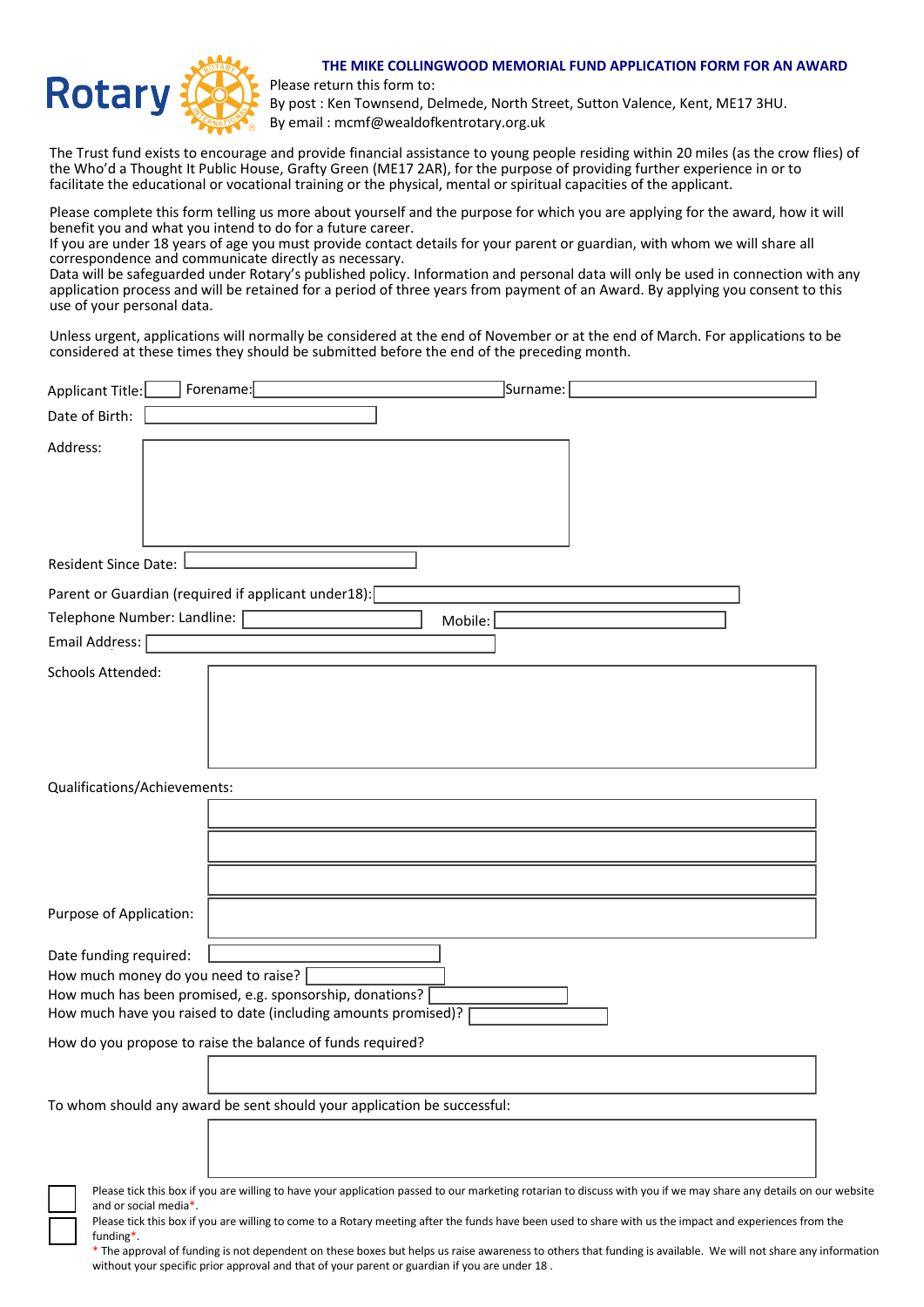

## **THE MIKE COLLINGWOOD MEMORIAL FUND APPLICATION FORM FOR AN AWARD**

Please return this form to:

By post : Ken Townsend, Delmede, North Street, Sutton Valence, Kent, ME17 3HU. By email : mcmf@wealdofkentrotary.org.uk

The Trust fund exists to encourage and provide financial assistance to young people residing within 20 miles (as the crow flies) of the Who'd a Thought It Public House, Grafty Green (ME17 2AR), for the purpose of providing further experience in or to facilitate the educational or vocational training or the physical, mental or spiritual capacities of the applicant.

Please complete this form telling us more about yourself and the purpose for which you are applying for the award, how it will benefit you and what you intend to do for a future career.

If you are under 18 years of age you must provide contact details for your parent or guardian, with whom we will share all correspondence and communicate directly as necessary.

Data will be safeguarded under Rotary's published policy. Information and personal data will only be used in connection with any application process and will be retained for a period of three years from payment of an Award. By applying you consent to this use of your personal data.

Unless urgent, applications will normally be considered at the end of November or at the end of March. For applications to be considered at these times they should be submitted before the end of the preceding month.

| <b>Applicant Title:</b>      | Forename:                                                                                                                                                          | Surname:                                                                                                                                                                                                                                                                                                                    |
|------------------------------|--------------------------------------------------------------------------------------------------------------------------------------------------------------------|-----------------------------------------------------------------------------------------------------------------------------------------------------------------------------------------------------------------------------------------------------------------------------------------------------------------------------|
| Date of Birth:               |                                                                                                                                                                    |                                                                                                                                                                                                                                                                                                                             |
| Address:                     |                                                                                                                                                                    |                                                                                                                                                                                                                                                                                                                             |
| <b>Resident Since Date:</b>  |                                                                                                                                                                    |                                                                                                                                                                                                                                                                                                                             |
|                              | Parent or Guardian (required if applicant under18):                                                                                                                |                                                                                                                                                                                                                                                                                                                             |
| Telephone Number: Landline:  |                                                                                                                                                                    | Mobile:                                                                                                                                                                                                                                                                                                                     |
| Email Address:               |                                                                                                                                                                    |                                                                                                                                                                                                                                                                                                                             |
| Schools Attended:            |                                                                                                                                                                    |                                                                                                                                                                                                                                                                                                                             |
| Qualifications/Achievements: |                                                                                                                                                                    |                                                                                                                                                                                                                                                                                                                             |
| Purpose of Application:      |                                                                                                                                                                    |                                                                                                                                                                                                                                                                                                                             |
| Date funding required:       | How much money do you need to raise?<br>How much has been promised, e.g. sponsorship, donations?<br>How much have you raised to date (including amounts promised)? |                                                                                                                                                                                                                                                                                                                             |
|                              | How do you propose to raise the balance of funds required?                                                                                                         |                                                                                                                                                                                                                                                                                                                             |
|                              | To whom should any award be sent should your application be successful:                                                                                            |                                                                                                                                                                                                                                                                                                                             |
| and or social media*.        |                                                                                                                                                                    | Please tick this box if you are willing to have your application passed to our marketing rotarian to discuss with you if we may share any details on our website<br>Please tick this box if you are willing to come to a Rotary meeting after the funds have been used to share with us the impact and experiences from the |

funding\*. \* The approval of funding is not dependent on these boxes but helps us raise awareness to others that funding is available. We will not share any information

without your specific prior approval and that of your parent or guardian if you are under 18 .